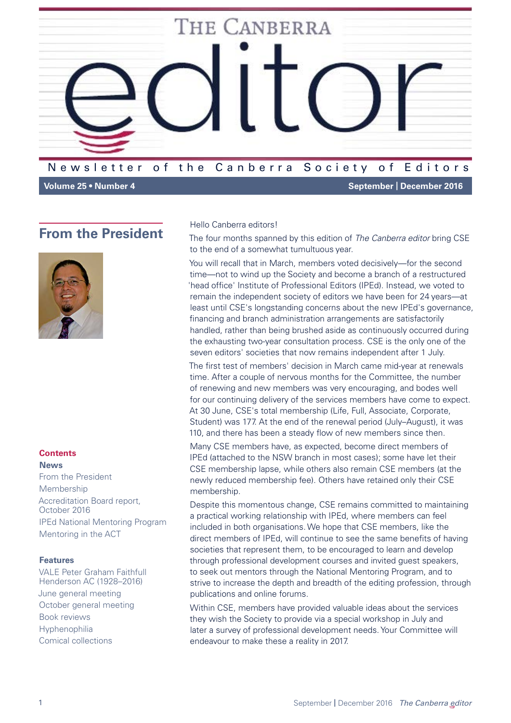

**Volume 25 • Number 4 September** | **December 2016**

### <span id="page-0-0"></span>**From the President**



#### **Contents News**

[From the President](#page-0-0) [Membership](#page-2-0) [Accreditation Board report,](#page-2-1)  [October 2016](#page-2-1) [IPEd National Mentoring Program](#page-3-0) [Mentoring in the ACT](#page-5-0)

### **Features**

[VALE Peter Graham Faithfull](#page-6-0)  [Henderson AC \(1928–2016\)](#page-6-0) [June general meeting](#page-6-1) [October general meeting](#page-8-0) [Book reviews](#page-10-0) [Hyphenophilia](#page-15-0) [Comical collections](#page-16-0)

#### Hello Canberra editors!

The four months spanned by this edition of *The Canberra editor* bring CSE to the end of a somewhat tumultuous year.

You will recall that in March, members voted decisively—for the second time—not to wind up the Society and become a branch of a restructured 'head office' Institute of Professional Editors (IPEd). Instead, we voted to remain the independent society of editors we have been for 24 years—at least until CSE's longstanding concerns about the new IPEd's governance, financing and branch administration arrangements are satisfactorily handled, rather than being brushed aside as continuously occurred during the exhausting two-year consultation process. CSE is the only one of the seven editors' societies that now remains independent after 1 July.

The first test of members' decision in March came mid-year at renewals time. After a couple of nervous months for the Committee, the number of renewing and new members was very encouraging, and bodes well for our continuing delivery of the services members have come to expect. At 30 June, CSE's total membership (Life, Full, Associate, Corporate, Student) was 177. At the end of the renewal period (July–August), it was 110, and there has been a steady flow of new members since then.

Many CSE members have, as expected, become direct members of IPEd (attached to the NSW branch in most cases); some have let their CSE membership lapse, while others also remain CSE members (at the newly reduced membership fee). Others have retained only their CSE membership.

Despite this momentous change, CSE remains committed to maintaining a practical working relationship with IPEd, where members can feel included in both organisations. We hope that CSE members, like the direct members of IPEd, will continue to see the same benefits of having societies that represent them, to be encouraged to learn and develop through professional development courses and invited guest speakers, to seek out mentors through the National Mentoring Program, and to strive to increase the depth and breadth of the editing profession, through publications and online forums.

Within CSE, members have provided valuable ideas about the services they wish the Society to provide via a special workshop in July and later a survey of professional development needs. Your Committee will endeavour to make these a reality in 2017.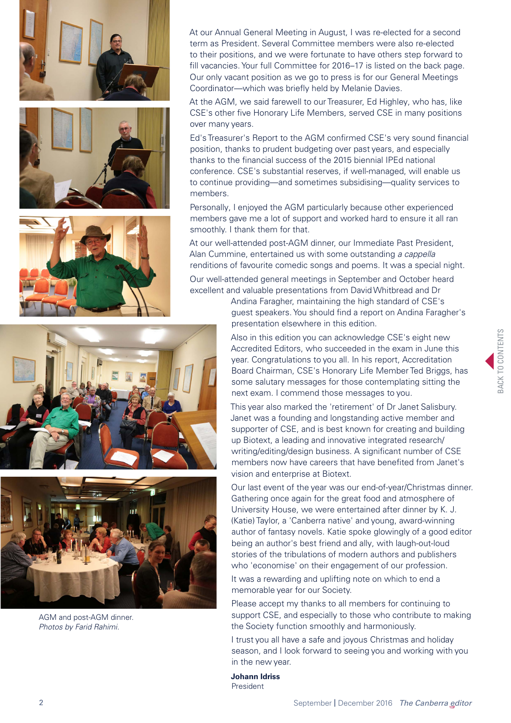





At our Annual General Meeting in August, I was re-elected for a second term as President. Several Committee members were also re-elected to their positions, and we were fortunate to have others step forward to fill vacancies. Your full Committee for 2016–17 is listed on the back page. Our only vacant position as we go to press is for our General Meetings Coordinator—which was briefly held by Melanie Davies.

At the AGM, we said farewell to our Treasurer, Ed Highley, who has, like CSE's other five Honorary Life Members, served CSE in many positions over many years.

Ed's Treasurer's Report to the AGM confirmed CSE's very sound financial position, thanks to prudent budgeting over past years, and especially thanks to the financial success of the 2015 biennial IPEd national conference. CSE's substantial reserves, if well-managed, will enable us to continue providing—and sometimes subsidising—quality services to members.

Personally, I enjoyed the AGM particularly because other experienced members gave me a lot of support and worked hard to ensure it all ran smoothly. I thank them for that.

At our well-attended post-AGM dinner, our Immediate Past President, Alan Cummine, entertained us with some outstanding *a cappella* renditions of favourite comedic songs and poems. It was a special night.

Our well-attended general meetings in September and October heard excellent and valuable presentations from David Whitbread and Dr

> Andina Faragher, maintaining the high standard of CSE's guest speakers. You should find a report on Andina Faragher's presentation elsewhere in this edition.

> Also in this edition you can acknowledge CSE's eight new Accredited Editors, who succeeded in the exam in June this year. Congratulations to you all. In his report, Accreditation Board Chairman, CSE's Honorary Life Member Ted Briggs, has some salutary messages for those contemplating sitting the next exam. I commend those messages to you.

This year also marked the 'retirement' of Dr Janet Salisbury. Janet was a founding and longstanding active member and supporter of CSE, and is best known for creating and building up Biotext, a leading and innovative integrated research/ writing/editing/design business. A significant number of CSE members now have careers that have benefited from Janet's vision and enterprise at Biotext.

Our last event of the year was our end-of-year/Christmas dinner. Gathering once again for the great food and atmosphere of University House, we were entertained after dinner by K. J. (Katie) Taylor, a 'Canberra native' and young, award-winning author of fantasy novels. Katie spoke glowingly of a good editor being an author's best friend and ally, with laugh-out-loud stories of the tribulations of modern authors and publishers who 'economise' on their engagement of our profession.

It was a rewarding and uplifting note on which to end a memorable year for our Society.

Please accept my thanks to all members for continuing to support CSE, and especially to those who contribute to making the Society function smoothly and harmoniously.

I trust you all have a safe and joyous Christmas and holiday season, and I look forward to seeing you and working with you in the new year.

**Johann Idriss** President





AGM and post-AGM dinner. *Photos by Farid Rahimi.*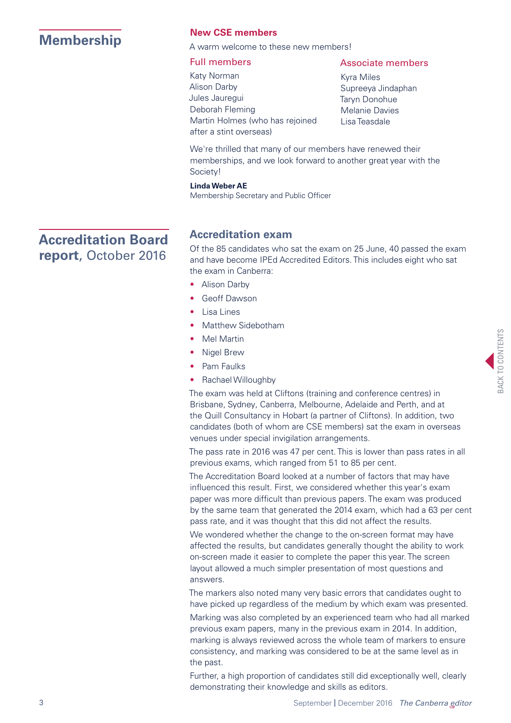# <span id="page-2-0"></span>**[Membership](#page-2-0) New CSE members**<br>A warm welcome to these new members!

### Full members

### Associate members

- Katy Norman Alison Darby Jules Jauregui Deborah Fleming Martin Holmes (who has rejoined after a stint overseas)
- Kyra Miles Supreeya Jindaphan Taryn Donohue Melanie Davies Lisa Teasdale

We're thrilled that many of our members have renewed their memberships, and we look forward to another great year with the Society!

### **Linda Weber AE**

Membership Secretary and Public Officer

### **Accreditation exam**

Of the 85 candidates who sat the exam on 25 June, 40 passed the exam and have become IPEd Accredited Editors. This includes eight who sat the exam in Canberra:

- Alison Darby
- Geoff Dawson
- Lisa Lines
- Matthew Sidebotham
- Mel Martin
- Nigel Brew
- Pam Faulks
- Rachael Willoughby

The exam was held at Cliftons (training and conference centres) in Brisbane, Sydney, Canberra, Melbourne, Adelaide and Perth, and at the Quill Consultancy in Hobart (a partner of Cliftons). In addition, two candidates (both of whom are CSE members) sat the exam in overseas venues under special invigilation arrangements.

The pass rate in 2016 was 47 per cent. This is lower than pass rates in all previous exams, which ranged from 51 to 85 per cent.

The Accreditation Board looked at a number of factors that may have influenced this result. First, we considered whether this year's exam paper was more difficult than previous papers. The exam was produced by the same team that generated the 2014 exam, which had a 63 per cent pass rate, and it was thought that this did not affect the results.

We wondered whether the change to the on-screen format may have affected the results, but candidates generally thought the ability to work on-screen made it easier to complete the paper this year. The screen layout allowed a much simpler presentation of most questions and answers.

The markers also noted many very basic errors that candidates ought to have picked up regardless of the medium by which exam was presented.

Marking was also completed by an experienced team who had all marked previous exam papers, many in the previous exam in 2014. In addition, marking is always reviewed across the whole team of markers to ensure consistency, and marking was considered to be at the same level as in the past.

Further, a high proportion of candidates still did exceptionally well, clearly demonstrating their knowledge and skills as editors.

### <span id="page-2-1"></span>**Accreditation Board report**, October 2016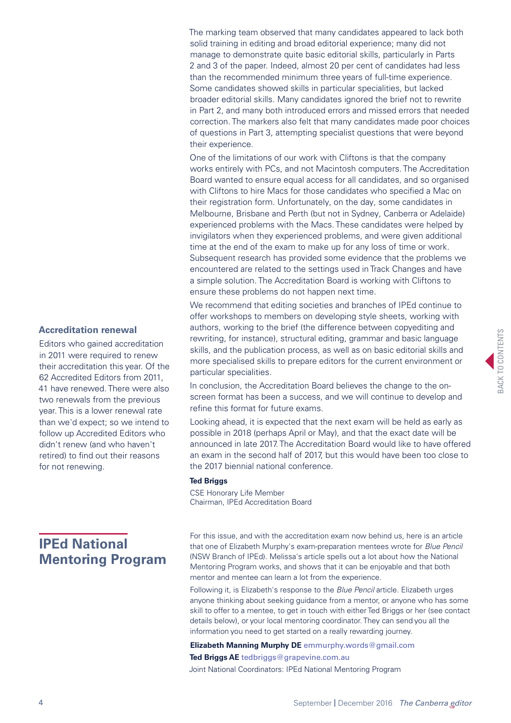**Accreditation renewal**

Editors who gained accreditation in 2011 were required to renew their accreditation this year. Of the 62 Accredited Editors from 2011, 41 have renewed. There were also two renewals from the previous year. This is a lower renewal rate than we'd expect; so we intend to follow up Accredited Editors who didn't renew (and who haven't retired) to find out their reasons for not renewing.

## <span id="page-3-0"></span>**IPEd National Mentoring Program**

The marking team observed that many candidates appeared to lack both solid training in editing and broad editorial experience; many did not manage to demonstrate quite basic editorial skills, particularly in Parts 2 and 3 of the paper. Indeed, almost 20 per cent of candidates had less than the recommended minimum three years of full-time experience. Some candidates showed skills in particular specialities, but lacked broader editorial skills. Many candidates ignored the brief not to rewrite in Part 2, and many both introduced errors and missed errors that needed correction. The markers also felt that many candidates made poor choices of questions in Part 3, attempting specialist questions that were beyond their experience.

One of the limitations of our work with Cliftons is that the company works entirely with PCs, and not Macintosh computers. The Accreditation Board wanted to ensure equal access for all candidates, and so organised with Cliftons to hire Macs for those candidates who specified a Mac on their registration form. Unfortunately, on the day, some candidates in Melbourne, Brisbane and Perth (but not in Sydney, Canberra or Adelaide) experienced problems with the Macs. These candidates were helped by invigilators when they experienced problems, and were given additional time at the end of the exam to make up for any loss of time or work. Subsequent research has provided some evidence that the problems we encountered are related to the settings used in Track Changes and have a simple solution. The Accreditation Board is working with Cliftons to ensure these problems do not happen next time.

We recommend that editing societies and branches of IPEd continue to offer workshops to members on developing style sheets, working with authors, working to the brief (the difference between copyediting and rewriting, for instance), structural editing, grammar and basic language skills, and the publication process, as well as on basic editorial skills and more specialised skills to prepare editors for the current environment or particular specialities.

In conclusion, the Accreditation Board believes the change to the onscreen format has been a success, and we will continue to develop and refine this format for future exams.

Looking ahead, it is expected that the next exam will be held as early as possible in 2018 (perhaps April or May), and that the exact date will be announced in late 2017. The Accreditation Board would like to have offered an exam in the second half of 2017, but this would have been too close to the 2017 biennial national conference.

### **Ted Briggs**

CSE Honorary Life Member Chairman, IPEd Accreditation Board

For this issue, and with the accreditation exam now behind us, here is an article that one of Elizabeth Murphy's exam-preparation mentees wrote for *Blue Pencil* (NSW Branch of IPEd). Melissa's article spells out a lot about how the National Mentoring Program works, and shows that it can be enjoyable and that both mentor and mentee can learn a lot from the experience.

Following it, is Elizabeth's response to the *Blue Pencil* article. Elizabeth urges anyone thinking about seeking guidance from a mentor, or anyone who has some skill to offer to a mentee, to get in touch with either Ted Briggs or her (see contact details below), or your local mentoring coordinator. They can send you all the information you need to get started on a really rewarding journey.

**Elizabeth Manning Murphy DE** emmurphy.words@gmail.[com](mailto:emmurphy%40ozemail.com.au?subject=) **Ted Briggs AE** tedbriggs@grapevine.com.au Joint National Coordinators: IPEd National Mentoring Program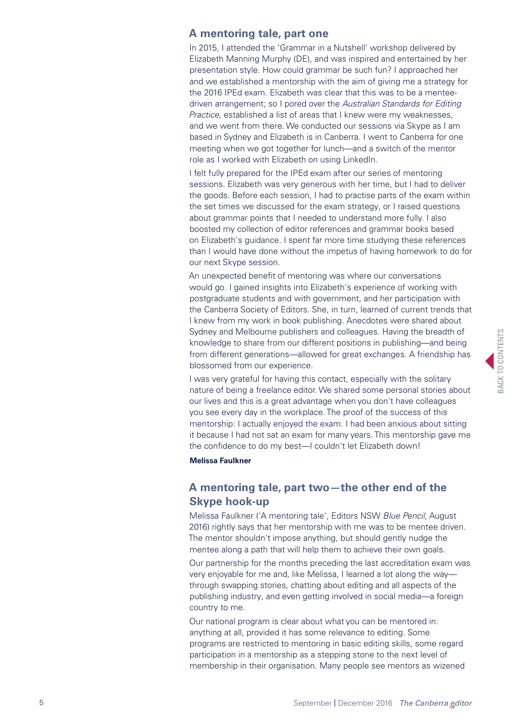### **A mentoring tale, part one**

In 2015, I attended the 'Grammar in a Nutshell' workshop delivered by Elizabeth Manning Murphy (DE), and was inspired and entertained by her presentation style. How could grammar be such fun? I approached her and we established a mentorship with the aim of giving me a strategy for the 2016 IPEd exam. Elizabeth was clear that this was to be a menteedriven arrangement; so I pored over the *Australian Standards for Editing Practice*, established a list of areas that I knew were my weaknesses, and we went from there. We conducted our sessions via Skype as I am based in Sydney and Elizabeth is in Canberra. I went to Canberra for one meeting when we got together for lunch—and a switch of the mentor role as I worked with Elizabeth on using LinkedIn.

I felt fully prepared for the IPEd exam after our series of mentoring sessions. Elizabeth was very generous with her time, but I had to deliver the goods. Before each session, I had to practise parts of the exam within the set times we discussed for the exam strategy, or I raised questions about grammar points that I needed to understand more fully. I also boosted my collection of editor references and grammar books based on Elizabeth's guidance. I spent far more time studying these references than I would have done without the impetus of having homework to do for our next Skype session.

An unexpected benefit of mentoring was where our conversations would go. I gained insights into Elizabeth's experience of working with postgraduate students and with government, and her participation with the Canberra Society of Editors. She, in turn, learned of current trends that I knew from my work in book publishing. Anecdotes were shared about Sydney and Melbourne publishers and colleagues. Having the breadth of knowledge to share from our different positions in publishing—and being from different generations—allowed for great exchanges. A friendship has blossomed from our experience.

I was very grateful for having this contact, especially with the solitary nature of being a freelance editor. We shared some personal stories about our lives and this is a great advantage when you don't have colleagues you see every day in the workplace. The proof of the success of this mentorship: I actually enjoyed the exam. I had been anxious about sitting it because I had not sat an exam for many years. This mentorship gave me the confidence to do my best—I couldn't let Elizabeth down!

#### **Melissa Faulkner**

### **A mentoring tale, part two—the other end of the Skype hook-up**

Melissa Faulkner ('A mentoring tale', Editors NSW *Blue Pencil*, August 2016) rightly says that her mentorship with me was to be mentee driven. The mentor shouldn't impose anything, but should gently nudge the mentee along a path that will help them to achieve their own goals.

Our partnership for the months preceding the last accreditation exam was very enjoyable for me and, like Melissa, I learned a lot along the way through swapping stories, chatting about editing and all aspects of the publishing industry, and even getting involved in social media—a foreign country to me.

Our national program is clear about what you can be mentored in: anything at all, provided it has some relevance to editing. Some programs are restricted to mentoring in basic editing skills, some regard participation in a mentorship as a stepping stone to the next level of membership in their organisation. Many people see mentors as wizened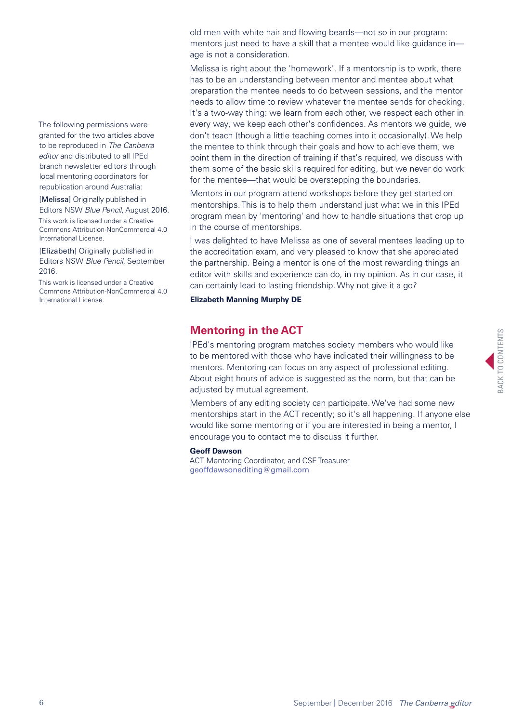The following permissions were granted for the two articles above to be reproduced in *The Canberra editor* and distributed to all IPEd branch newsletter editors through local mentoring coordinators for republication around Australia:

[Melissa] Originally published in Editors NSW *Blue Pencil*, August 2016. This work is licensed under a [Creative](http://creativecommons.org/licenses/by-nc/4.0/)  [Commons Attribution-NonCommercial 4.0](http://creativecommons.org/licenses/by-nc/4.0/)  [International License](http://creativecommons.org/licenses/by-nc/4.0/).

[Elizabeth] Originally published in Editors NSW *Blue Pencil*, September 2016.

This work is licensed under a [Creative](http://creativecommons.org/licenses/by-nc/4.0/)  [Commons Attribution-NonCommercial 4.0](http://creativecommons.org/licenses/by-nc/4.0/)  [International License](http://creativecommons.org/licenses/by-nc/4.0/).

old men with white hair and flowing beards—not so in our program: mentors just need to have a skill that a mentee would like quidance inage is not a consideration.

Melissa is right about the 'homework'. If a mentorship is to work, there has to be an understanding between mentor and mentee about what preparation the mentee needs to do between sessions, and the mentor needs to allow time to review whatever the mentee sends for checking. It's a two-way thing: we learn from each other, we respect each other in every way, we keep each other's confidences. As mentors we guide, we don't teach (though a little teaching comes into it occasionally). We help the mentee to think through their goals and how to achieve them, we point them in the direction of training if that's required, we discuss with them some of the basic skills required for editing, but we never do work for the mentee—that would be overstepping the boundaries.

Mentors in our program attend workshops before they get started on mentorships. This is to help them understand just what we in this IPEd program mean by 'mentoring' and how to handle situations that crop up in the course of mentorships.

I was delighted to have Melissa as one of several mentees leading up to the accreditation exam, and very pleased to know that she appreciated the partnership. Being a mentor is one of the most rewarding things an editor with skills and experience can do, in my opinion. As in our case, it can certainly lead to lasting friendship. Why not give it a go?

**Elizabeth Manning Murphy DE**

### <span id="page-5-0"></span>**[Mentoring in the ACT](#page-5-0)**

IPEd's mentoring program matches society members who would like to be mentored with those who have indicated their willingness to be mentors. Mentoring can focus on any aspect of professional editing. About eight hours of advice is suggested as the norm, but that can be adjusted by mutual agreement.

Members of any editing society can participate. We've had some new mentorships start in the ACT recently; so it's all happening. If anyone else would like some mentoring or if you are interested in being a mentor, I encourage you to contact me to discuss it further.

#### **Geoff Dawson**

ACT Mentoring Coordinator, and CSE Treasurer [geoffdawsonediting@gmail.com](mailto:geoffdawsonediting%40gmail.com?subject=)

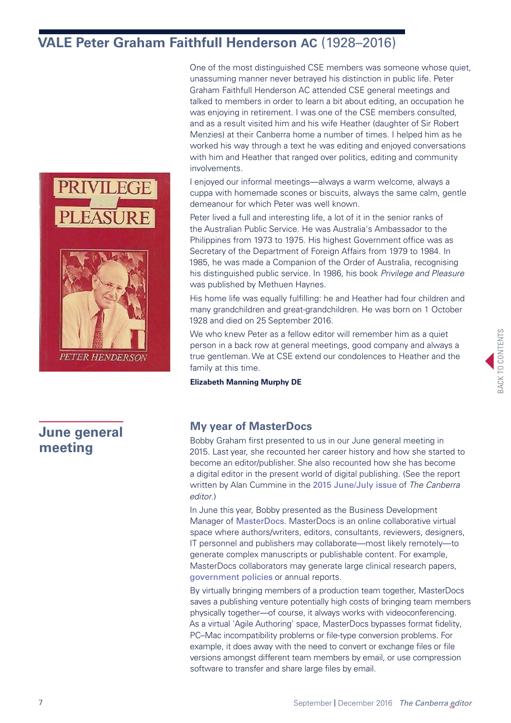## <span id="page-6-0"></span>**[VALE Peter Graham Faithfull Henderson AC](#page-6-0)** (1928–2016)





**PETER HENDERSOF** 

### One of the most distinguished CSE members was someone whose quiet, unassuming manner never betrayed his distinction in public life. Peter Graham Faithfull Henderson AC attended CSE general meetings and talked to members in order to learn a bit about editing, an occupation he was enjoying in retirement. I was one of the CSE members consulted, and as a result visited him and his wife Heather (daughter of Sir Robert Menzies) at their Canberra home a number of times. I helped him as he worked his way through a text he was editing and enjoyed conversations with him and Heather that ranged over politics, editing and community involvements.

I enjoyed our informal meetings—always a warm welcome, always a cuppa with homemade scones or biscuits, always the same calm, gentle demeanour for which Peter was well known.

Peter lived a full and interesting life, a lot of it in the senior ranks of the Australian Public Service. He was Australia's Ambassador to the Philippines from 1973 to 1975. His highest Government office was as Secretary of the Department of Foreign Affairs from 1979 to 1984. In 1985, he was made a Companion of the Order of Australia, recognising his distinguished public service. In 1986, his book *Privilege and Pleasure* was published by Methuen Haynes.

His home life was equally fulfilling: he and Heather had four children and many grandchildren and great-grandchildren. He was born on 1 October 1928 and died on 25 September 2016.

We who knew Peter as a fellow editor will remember him as a quiet person in a back row at general meetings, good company and always a true gentleman. We at CSE extend our condolences to Heather and the family at this time.

**Elizabeth Manning Murphy DE**

### <span id="page-6-1"></span>**[June general](#page-6-1)  [meeting](#page-6-1)**

### **My year of MasterDocs**

Bobby Graham first presented to us in our June general meeting in 2015. Last year, she recounted her career history and how she started to become an editor/publisher. She also recounted how she has become a digital editor in the present world of digital publishing. (See the report written by Alan Cummine in the [2015 June/July issue](http://www.editorscanberra.org/wp-content/uploads/june2015.pdf) of *The Canberra editor*.)

In June this year, Bobby presented as the Business Development Manager of [MasterDocs](http://www.masterdocs.com.au/). MasterDocs is an online collaborative virtual space where authors/writers, editors, consultants, reviewers, designers, IT personnel and publishers may collaborate—most likely remotely—to generate complex manuscripts or publishable content. For example, MasterDocs collaborators may generate large clinical research papers, [government policies](https://www.youtube.com/watch?v=8IsjJhFRGyo) or annual reports.

By virtually bringing members of a production team together, MasterDocs saves a publishing venture potentially high costs of bringing team members physically together—of course, it always works with videoconferencing. As a virtual 'Agile Authoring' space, MasterDocs bypasses format fidelity, PC–Mac incompatibility problems or file-type conversion problems. For example, it does away with the need to convert or exchange files or file versions amongst different team members by email, or use compression software to transfer and share large files by email.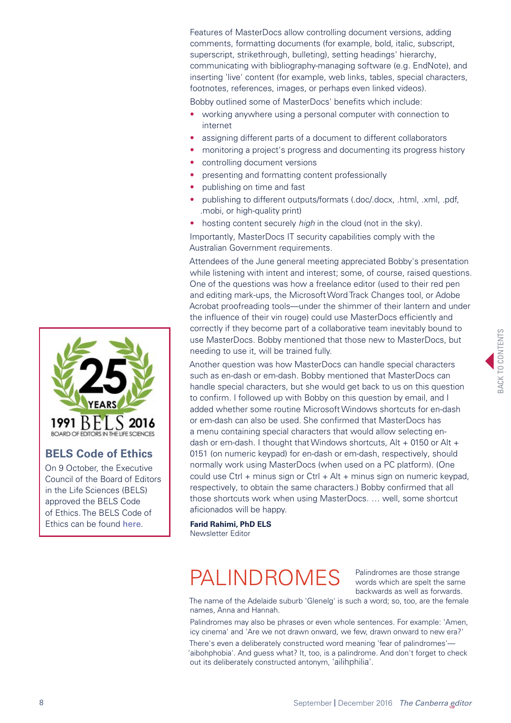Features of MasterDocs allow controlling document versions, adding comments, formatting documents (for example, bold, italic, subscript, superscript, strikethrough, bulleting), setting headings' hierarchy, communicating with bibliography-managing software (e.g. EndNote), and inserting 'live' content (for example, web links, tables, special characters, footnotes, references, images, or perhaps even linked videos).

Bobby outlined some of MasterDocs' benefits which include:

- working anywhere using a personal computer with connection to internet
- assigning different parts of a document to different collaborators
- monitoring a project's progress and documenting its progress history
- controlling document versions
- presenting and formatting content professionally
- publishing on time and fast
- publishing to different outputs/formats (.doc/.docx, .html, .xml, .pdf, .mobi, or high-quality print)
- hosting content securely *high* in the cloud (not in the sky).

Importantly, MasterDocs IT security capabilities comply with the Australian Government requirements.

Attendees of the June general meeting appreciated Bobby's presentation while listening with intent and interest; some, of course, raised questions. One of the questions was how a freelance editor (used to their red pen and editing mark-ups, the Microsoft Word Track Changes tool, or Adobe Acrobat proofreading tools—under the shimmer of their lantern and under the influence of their vin rouge) could use MasterDocs efficiently and correctly if they become part of a collaborative team inevitably bound to use MasterDocs. Bobby mentioned that those new to MasterDocs, but needing to use it, will be trained fully.

Another question was how MasterDocs can handle special characters such as en-dash or em-dash. Bobby mentioned that MasterDocs can handle special characters, but she would get back to us on this question to confirm. I followed up with Bobby on this question by email, and I added whether some routine Microsoft Windows shortcuts for en-dash or em-dash can also be used. She confirmed that MasterDocs has a menu containing special characters that would allow selecting endash or em-dash. I thought that Windows shortcuts,  $Alt + 0150$  or Alt  $+$ 0151 (on numeric keypad) for en-dash or em-dash, respectively, should normally work using MasterDocs (when used on a PC platform). (One could use Ctrl + minus sign or Ctrl + Alt + minus sign on numeric keypad, respectively, to obtain the same characters.) Bobby confirmed that all those shortcuts work when using MasterDocs. … well, some shortcut aficionados will be happy.

**Farid Rahimi, PhD ELS** Newsletter Editor

# PALINDROMES

Palindromes are those strange words which are spelt the same backwards as well as forwards.

The name of the Adelaide suburb 'Glenelg' is such a word; so, too, are the female names, Anna and Hannah.

Palindromes may also be phrases or even whole sentences. For example: 'Amen, icy cinema' and 'Are we not drawn onward, we few, drawn onward to new era?'

There's even a deliberately constructed word meaning 'fear of palindromes'— 'aibohphobia'. And guess what? It, too, is a palindrome. And don't forget to check out its deliberately constructed antonym, 'ailihphilia'.



### **BELS Code of Ethics**

On 9 October, the Executive Council of the Board of Editors in the Life Sciences (BELS) approved the BELS Code of Ethics. The BELS Code of Ethics can be found [here](http://www.bels.org/code-of-ethics2).

BACK TO CONTENTS **SACK TO CONTENTS**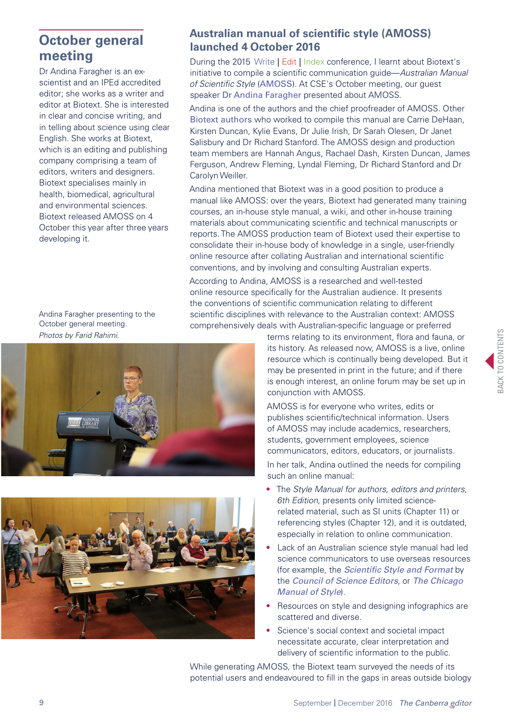### <span id="page-8-0"></span>**[October general](#page-8-0)  [meeting](#page-8-0)**

Dr Andina Faragher is an exscientist and an IPEd accredited editor; she works as a writer and editor at Biotext. She is interested in clear and concise writing, and in telling about science using clear English. She works at Biotext, which is an editing and publishing company comprising a team of editors, writers and designers. Biotext specialises mainly in health, biomedical, agricultural and environmental sciences. Biotext released AMOSS on 4 October this year after three years developing it.

Andina Faragher presenting to the October general meeting. *Photos by Farid Rahimi.*





### **Australian manual of scientific style (AMOSS) launched 4 October 2016**

During the 2015 Write | Edit | Index conference, I learnt about Biotext's initiative to compile a scientific communication guide—*Australian Manual of Scientific Style* ([AMOSS](https://www.sciencestyle.com.au/)). At CSE's October meeting, our guest speaker [Dr Andina Faragher](http://www.biotext.com.au/staff/andina-faragher/) presented about AMOSS.

Andina is one of the authors and the chief proofreader of AMOSS. Other [Biotext authors](http://www.biotext.com.au/about-us/staff/) who worked to compile this manual are Carrie DeHaan, Kirsten Duncan, Kylie Evans, Dr Julie Irish, Dr Sarah Olesen, Dr Janet Salisbury and Dr Richard Stanford. The AMOSS design and production team members are Hannah Angus, Rachael Dash, Kirsten Duncan, James Ferguson, Andrew Fleming, Lyndal Fleming, Dr Richard Stanford and Dr Carolyn Weiller.

Andina mentioned that Biotext was in a good position to produce a manual like AMOSS: over the years, Biotext had generated many training courses, an in-house style manual, a wiki, and other in-house training materials about communicating scientific and technical manuscripts or reports. The AMOSS production team of Biotext used their expertise to consolidate their in-house body of knowledge in a single, user-friendly online resource after collating Australian and international scientific conventions, and by involving and consulting Australian experts.

According to Andina, AMOSS is a researched and well-tested online resource specifically for the Australian audience. It presents the conventions of scientific communication relating to different scientific disciplines with relevance to the Australian context: AMOSS comprehensively deals with Australian-specific language or preferred

> terms relating to its environment, flora and fauna, or its history. As released now, AMOSS is a live, online resource which is continually being developed. But it may be presented in print in the future; and if there is enough interest, an online forum may be set up in conjunction with AMOSS.

AMOSS is for everyone who writes, edits or publishes scientific/technical information. Users of AMOSS may include academics, researchers, students, government employees, science communicators, editors, educators, or journalists.

In her talk, Andina outlined the needs for compiling such an online manual:

- The *Style Manual for authors, editors and printers, 6th Edition*, presents only limited sciencerelated material, such as SI units (Chapter 11) or referencing styles (Chapter 12), and it is outdated, especially in relation to online communication.
- Lack of an Australian science style manual had led science communicators to use overseas resources (for example, the *[Scientific Style and Format](http://www.scientificstyleandformat.org/Home.html)* by the *[Council of Science Editors](https://www.councilscienceeditors.org/)*, or *[The Chicago](http://www.chicagomanualofstyle.org/home.html)  [Manual of Style](http://www.chicagomanualofstyle.org/home.html)*).
- Resources on style and designing infographics are scattered and diverse.
- Science's social context and societal impact necessitate accurate, clear interpretation and delivery of scientific information to the public.

While generating AMOSS, the Biotext team surveyed the needs of its potential users and endeavoured to fill in the gaps in areas outside biology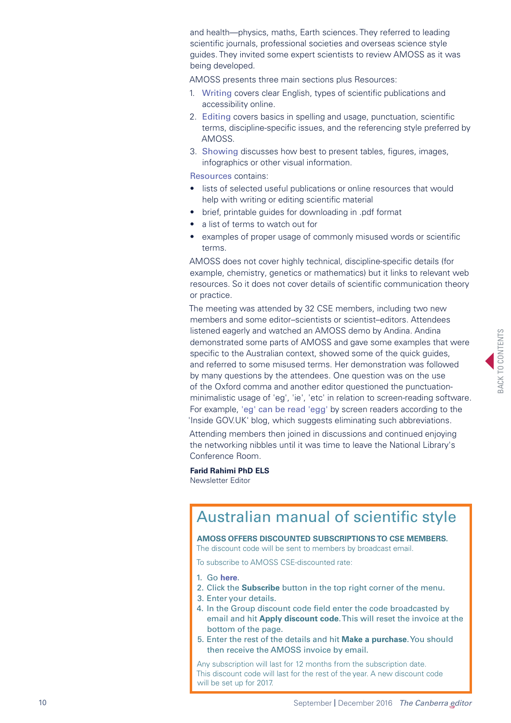and health—physics, maths, Earth sciences. They referred to leading scientific journals, professional societies and overseas science style guides. They invited some expert scientists to review AMOSS as it was being developed.

AMOSS presents three main sections plus Resources:

- 1. [Writing](https://www.sciencestyle.com.au/australian-manual-scientific-style/writing) covers clear English, types of scientific publications and accessibility online.
- 2. [Editing](https://www.sciencestyle.com.au/australian-manual-scientific-style/editing) covers basics in spelling and usage, punctuation, scientific terms, discipline-specific issues, and the referencing style preferred by AMOSS.
- 3. [Showing](https://www.sciencestyle.com.au/australian-manual-scientific-style/showing) discusses how best to present tables, figures, images, infographics or other visual information.

[Resources](https://www.sciencestyle.com.au/australian-manual-scientific-style/resources) contains:

- lists of selected useful publications or online resources that would help with writing or editing scientific material
- brief, printable guides for downloading in .pdf format
- a list of terms to watch out for
- examples of proper usage of commonly misused words or scientific terms.

AMOSS does not cover highly technical, discipline-specific details (for example, chemistry, genetics or mathematics) but it links to relevant web resources. So it does not cover details of scientific communication theory or practice.

The meeting was attended by 32 CSE members, including two new members and some editor–scientists or scientist–editors. Attendees listened eagerly and watched an AMOSS demo by Andina. Andina demonstrated some parts of AMOSS and gave some examples that were specific to the Australian context, showed some of the quick quides, and referred to some misused terms. Her demonstration was followed by many questions by the attendees. One question was on the use of the Oxford comma and another editor questioned the punctuationminimalistic usage of 'eg', 'ie', 'etc' in relation to screen-reading software. For example, ['eg' can be read 'egg'](https://insidegovuk.blog.gov.uk/2016/07/20/changes-to-the-style-guide-no-more-eg-and-ie-etc/) by screen readers according to the 'Inside GOV.UK' blog, which suggests eliminating such abbreviations.

Attending members then joined in discussions and continued enjoying the networking nibbles until it was time to leave the National Library's Conference Room.

**Farid Rahimi PhD ELS** Newsletter Editor

## Australian manual of scientific style

**AMOSS OFFERS DISCOUNTED SUBSCRIPTIONS TO CSE MEMBERS.**

The discount code will be sent to members by broadcast email.

To subscribe to AMOSS CSE-discounted rate:

- 1. Go **[here](https://www.sciencestyle.com.au/)**.
- 2. Click the **Subscribe** button in the top right corner of the menu.
- 3. Enter your details.
- 4. In the Group discount code field enter the code broadcasted by email and hit **Apply discount code**. This will reset the invoice at the bottom of the page.
- 5. Enter the rest of the details and hit **Make a purchase**. You should then receive the AMOSS invoice by email.

Any subscription will last for 12 months from the subscription date. This discount code will last for the rest of the year. A new discount code will be set up for 2017.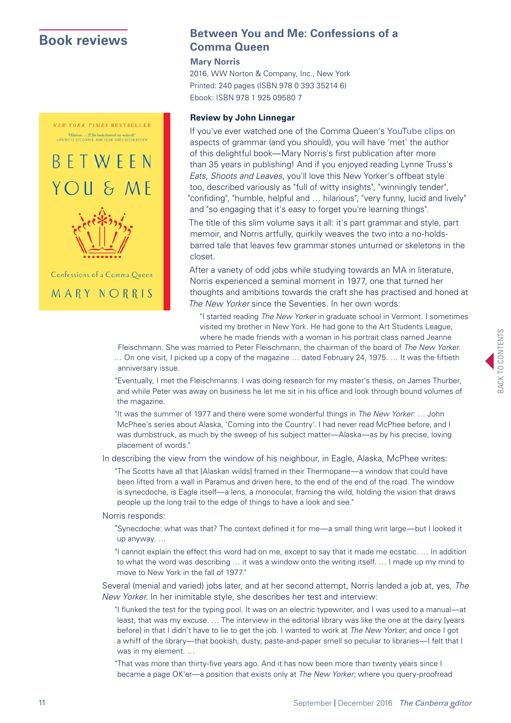**NEW YORK TIMES BESTSELLER** 



MARY NORRIS

### <span id="page-10-0"></span>**[Book reviews](#page-10-0) Book reviews Book reviews Comma Queen**

#### **Mary Norris**

2016, WW Norton & Company, Inc., New York Printed: 240 pages (ISBN 978 0 393 35214 6) Ebook: ISBN 978 1 925 09580 7

### **Review by John Linnegar**

If you've ever watched one of the Comma Queen's [YouTube clips](https://www.youtube.com/watch?v=zwsanKHRkOg) on aspects of grammar (and you should), you will have 'met' the author of this delightful book—Mary Norris's first publication after more than 35 years in publishing! And if you enjoyed reading Lynne Truss's *Eats, Shoots and Leaves*, you'll love this New Yorker's offbeat style too, described variously as "full of witty insights", "winningly tender", "confiding", "humble, helpful and … hilarious", "very funny, lucid and lively" and "so engaging that it's easy to forget you're learning things".

The title of this slim volume says it all: it's part grammar and style, part memoir, and Norris artfully, quirkily weaves the two into a no-holdsbarred tale that leaves few grammar stones unturned or skeletons in the closet.

After a variety of odd jobs while studying towards an MA in literature, Norris experienced a seminal moment in 1977, one that turned her thoughts and ambitions towards the craft she has practised and honed at *The New Yorker* since the Seventies. In her own words:

"I started reading *The New Yorker* in graduate school in Vermont. I sometimes visited my brother in New York. He had gone to the Art Students League, where he made friends with a woman in his portrait class named Jeanne

Fleischmann. She was married to Peter Fleischmann, the chairman of the board of *The New Yorker*. … On one visit, I picked up a copy of the magazine … dated February 24, 1975. … It was the fiftieth anniversary issue.

"Eventually, I met the Fleischmanns. I was doing research for my master's thesis, on James Thurber, and while Peter was away on business he let me sit in his office and look through bound volumes of the magazine.

"It was the summer of 1977 and there were some wonderful things in *The New Yorker*: … John McPhee's series about Alaska, 'Coming into the Country'. I had never read McPhee before, and I was dumbstruck, as much by the sweep of his subject matter—Alaska—as by his precise, loving placement of words."

In describing the view from the window of his neighbour, in Eagle, Alaska, McPhee writes:

"The Scotts have all that [Alaskan wilds] framed in their Thermopane—a window that could have been lifted from a wall in Paramus and driven here, to the end of the end of the road. The window is synecdoche, is Eagle itself—a lens, a monocular, framing the wild, holding the vision that draws people up the long trail to the edge of things to have a look and see."

Norris responds:

"Synecdoche: what was that? The context defined it for me—a small thing writ large—but I looked it up anyway. …

"I cannot explain the effect this word had on me, except to say that it made me ecstatic. … In addition to what the word was describing … it was a window onto the writing itself. … I made up my mind to move to New York in the fall of 1977."

Several (menial and varied) jobs later, and at her second attempt, Norris landed a job at, yes, *The New Yorker*. In her inimitable style, she describes her test and interview:

"I flunked the test for the typing pool. It was on an electric typewriter, and I was used to a manual—at least, that was my excuse. … The interview in the editorial library was like the one at the dairy [years before] in that I didn't have to lie to get the job. I wanted to work at *The New Yorker*; and once I got a whiff of the library—that bookish, dusty, paste-and-paper smell so peculiar to libraries—I felt that I was in my element. …

"That was more than thirty-five years ago. And it has now been more than twenty years since I became a page OK'er—a position that exists only at *The New Yorker*; where you query-proofread

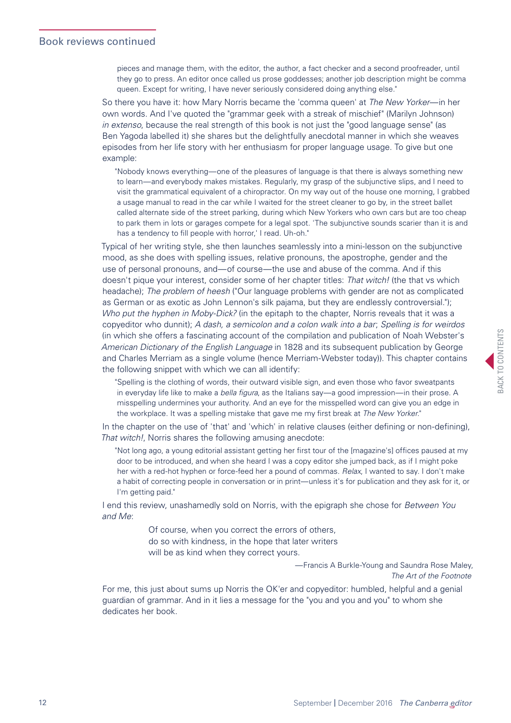pieces and manage them, with the editor, the author, a fact checker and a second proofreader, until they go to press. An editor once called us prose goddesses; another job description might be comma queen. Except for writing, I have never seriously considered doing anything else."

So there you have it: how Mary Norris became the 'comma queen' at *The New Yorker*—in her own words. And I've quoted the "grammar geek with a streak of mischief" (Marilyn Johnson) *in extenso*, because the real strength of this book is not just the "good language sense" (as Ben Yagoda labelled it) she shares but the delightfully anecdotal manner in which she weaves episodes from her life story with her enthusiasm for proper language usage. To give but one example:

"Nobody knows everything—one of the pleasures of language is that there is always something new to learn—and everybody makes mistakes. Regularly, my grasp of the subjunctive slips, and I need to visit the grammatical equivalent of a chiropractor. On my way out of the house one morning, I grabbed a usage manual to read in the car while I waited for the street cleaner to go by, in the street ballet called alternate side of the street parking, during which New Yorkers who own cars but are too cheap to park them in lots or garages compete for a legal spot. 'The subjunctive sounds scarier than it is and has a tendency to fill people with horror,' I read. Uh-oh."

Typical of her writing style, she then launches seamlessly into a mini-lesson on the subjunctive mood, as she does with spelling issues, relative pronouns, the apostrophe, gender and the use of personal pronouns, and—of course—the use and abuse of the comma. And if this doesn't pique your interest, consider some of her chapter titles: *That witch!* (the that vs which headache); *The problem of heesh* ("Our language problems with gender are not as complicated as German or as exotic as John Lennon's silk pajama, but they are endlessly controversial."); *Who put the hyphen in Moby-Dick?* (in the epitaph to the chapter, Norris reveals that it was a copyeditor who dunnit); *A dash, a semicolon and a colon walk into a bar*; *Spelling is for weirdos* (in which she offers a fascinating account of the compilation and publication of Noah Webster's *American Dictionary of the English Language* in 1828 and its subsequent publication by George and Charles Merriam as a single volume (hence Merriam-Webster today)). This chapter contains the following snippet with which we can all identify:

"Spelling is the clothing of words, their outward visible sign, and even those who favor sweatpants in everyday life like to make a *bella figura*, as the Italians say—a good impression—in their prose. A misspelling undermines your authority. And an eye for the misspelled word can give you an edge in the workplace. It was a spelling mistake that gave me my first break at *The New Yorker.*"

In the chapter on the use of 'that' and 'which' in relative clauses (either defining or non-defining), *That witch!*, Norris shares the following amusing anecdote:

"Not long ago, a young editorial assistant getting her first tour of the [magazine's] offices paused at my door to be introduced, and when she heard I was a copy editor she jumped back, as if I might poke her with a red-hot hyphen or force-feed her a pound of commas. *Relax*, I wanted to say. I don't make a habit of correcting people in conversation or in print—unless it's for publication and they ask for it, or I'm getting paid."

I end this review, unashamedly sold on Norris, with the epigraph she chose for *Between You and Me*:

> Of course, when you correct the errors of others, do so with kindness, in the hope that later writers will be as kind when they correct yours.

> > —Francis A Burkle-Young and Saundra Rose Maley, *The Art of the Footnote*

For me, this just about sums up Norris the OK'er and copyeditor: humbled, helpful and a genial guardian of grammar. And in it lies a message for the "you and you and you" to whom she dedicates her book.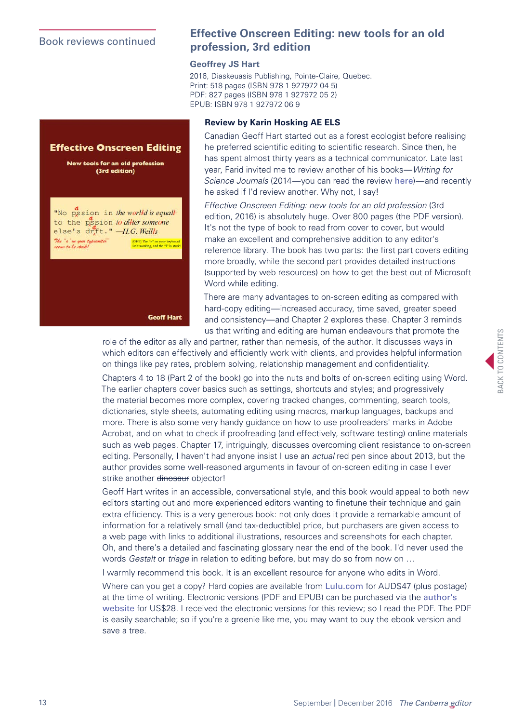### Book reviews continued



### **Effective Onscreen Editing: new tools for an old profession, 3rd edition**

### **Geoffrey JS Hart**

2016, Diaskeuasis Publishing, Pointe-Claire, Quebec. Print: 518 pages (ISBN 978 1 927972 04 5) PDF: 827 pages (ISBN 978 1 927972 05 2) EPUB: ISBN 978 1 927972 06 9

### **Review by Karin Hosking AE ELS**

Canadian Geoff Hart started out as a forest ecologist before realising he preferred scientific editing to scientific research. Since then, he has spent almost thirty years as a technical communicator. Late last year, Farid invited me to review another of his books—*Writing for Science Journals* (2014—you can read the review [here](http://www.geoff-hart.com/books/journals/review-canberra-editors2015.pdf))—and recently he asked if I'd review another. Why not, I say!

*Effective Onscreen Editing: new tools for an old profession* (3rd edition, 2016) is absolutely huge. Over 800 pages (the PDF version). It's not the type of book to read from cover to cover, but would make an excellent and comprehensive addition to any editor's reference library. The book has two parts: the first part covers editing more broadly, while the second part provides detailed instructions (supported by web resources) on how to get the best out of Microsoft Word while editing.

There are many advantages to on-screen editing as compared with hard-copy editing—increased accuracy, time saved, greater speed and consistency—and Chapter 2 explores these. Chapter 3 reminds us that writing and editing are human endeavours that promote the

role of the editor as ally and partner, rather than nemesis, of the author. It discusses ways in which editors can effectively and efficiently work with clients, and provides helpful information on things like pay rates, problem solving, relationship management and confidentiality.

Chapters 4 to 18 (Part 2 of the book) go into the nuts and bolts of on-screen editing using Word. The earlier chapters cover basics such as settings, shortcuts and styles; and progressively the material becomes more complex, covering tracked changes, commenting, search tools, dictionaries, style sheets, automating editing using macros, markup languages, backups and more. There is also some very handy guidance on how to use proofreaders' marks in Adobe Acrobat, and on what to check if proofreading (and effectively, software testing) online materials such as web pages. Chapter 17, intriguingly, discusses overcoming client resistance to on-screen editing. Personally, I haven't had anyone insist I use an *actual* red pen since about 2013, but the author provides some well-reasoned arguments in favour of on-screen editing in case I ever strike another dinosaur objector!

Geoff Hart writes in an accessible, conversational style, and this book would appeal to both new editors starting out and more experienced editors wanting to finetune their technique and gain extra efficiency. This is a very generous book: not only does it provide a remarkable amount of information for a relatively small (and tax-deductible) price, but purchasers are given access to a web page with links to additional illustrations, resources and screenshots for each chapter. Oh, and there's a detailed and fascinating glossary near the end of the book. I'd never used the words *Gestalt* or *triage* in relation to editing before, but may do so from now on …

I warmly recommend this book. It is an excellent resource for anyone who edits in Word.

Where can you get a copy? Hard copies are available from [Lulu.com](http://www.lulu.com/shop/geoff-hart/effective-onscreen-editing-3rd-ed/paperback/product-22824618.html) for AUD\$47 (plus postage) at the time of writing. Electronic versions (PDF and EPUB) can be purchased via the [author's](http://www.geoff-hart.com/books/eoe/onscreen-book.htm)  [website](http://www.geoff-hart.com/books/eoe/onscreen-book.htm) for US\$28. I received the electronic versions for this review; so I read the PDF. The PDF is easily searchable; so if you're a greenie like me, you may want to buy the ebook version and save a tree.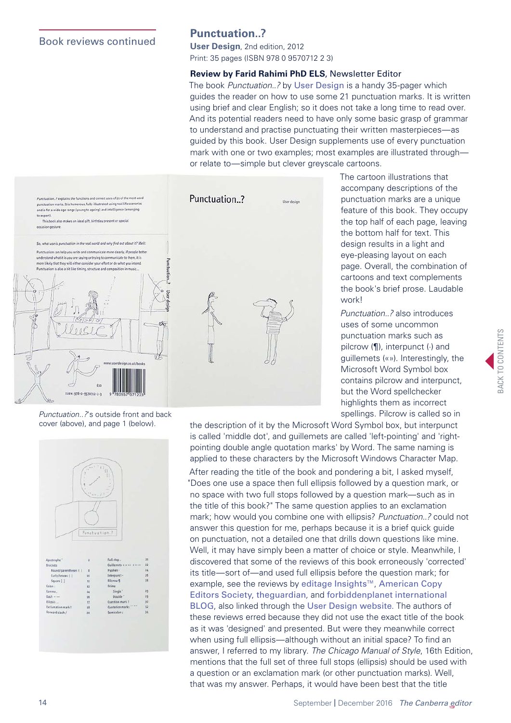### Book reviews continued

### **Punctuation..?**

**[User Design](http://userdesignillustrationandtypesetting.com/index.html)**, 2nd edition, 2012 Print: 35 pages (ISBN 978 0 9570712 2 3)

### **Review by Farid Rahimi PhD ELS**, Newsletter Editor

The book *Punctuation..?* by [User Design](http://userdesignillustrationandtypesetting.com/index.html) is a handy 35-pager which guides the reader on how to use some 21 punctuation marks. It is written using brief and clear English; so it does not take a long time to read over. And its potential readers need to have only some basic grasp of grammar to understand and practise punctuating their written masterpieces—as guided by this book. User Design supplements use of every punctuation mark with one or two examples; most examples are illustrated through or relate to—simple but clever greyscale cartoons.



The cartoon illustrations that accompany descriptions of the punctuation marks are a unique feature of this book. They occupy the top half of each page, leaving the bottom half for text. This design results in a light and eye-pleasing layout on each page. Overall, the combination of cartoons and text complements the book's brief prose. Laudable work!

*Punctuation..?* also introduces uses of some uncommon punctuation marks such as pilcrow (¶), interpunct (·) and guillemets («»). Interestingly, the Microsoft Word Symbol box contains pilcrow and interpunct, but the Word spellchecker highlights them as incorrect spellings. Pilcrow is called so in

BACK TO CONTENTS **SACK TO CONTENTS** 

*Punctuation..?*'s outside front and back cover (above), and page 1 (below).

|                          | ii is            |                     |                 |
|--------------------------|------------------|---------------------|-----------------|
|                          |                  |                     |                 |
|                          |                  |                     |                 |
|                          |                  |                     |                 |
|                          |                  |                     |                 |
|                          |                  |                     |                 |
|                          |                  |                     |                 |
|                          | Punctuation ?    |                     |                 |
|                          |                  |                     |                 |
|                          |                  |                     |                 |
|                          |                  |                     |                 |
|                          |                  |                     |                 |
|                          |                  |                     |                 |
| Apostrophe"              | $\overline{a}$   | Full stop.          | 21              |
| <b>Brackets</b>          |                  | Guillemets « » <>   | 22              |
| Round/parentheses ( )    | 8                | Hyphen -            | 24 <sup>°</sup> |
| Curly/braces { }         | 10 <sup>10</sup> | Interpunct -        | 26              |
| Square [ ]               | $\mathbf{11}$    | Pilcrow 9           | 28              |
| Colon:                   | 12               | Prime               |                 |
| Comma,                   | 14               | Single <sup>*</sup> | 29              |
| $Dash -$                 |                  | Double <sup>-</sup> | 29              |
| Ellipsis                 | 16<br>17         | Question mark?      | 30              |
| <b>Exclamation mark!</b> | 18               | Quotation marks     | 32              |
|                          | 20               | Semicolon:          | 34              |
| Forward slash /          |                  |                     |                 |
|                          |                  |                     |                 |
|                          |                  |                     |                 |

the description of it by the Microsoft Word Symbol box, but interpunct is called 'middle dot', and guillemets are called 'left-pointing' and 'rightpointing double angle quotation marks' by Word. The same naming is applied to these characters by the Microsoft Windows Character Map.

After reading the title of the book and pondering a bit, I asked myself, "Does one use a space then full ellipsis followed by a question mark, or no space with two full stops followed by a question mark—such as in the title of this book?" The same question applies to an exclamation mark; how would you combine one with ellipsis? *Punctuation..?* could not answer this question for me, perhaps because it is a brief quick guide on punctuation, not a detailed one that drills down questions like mine. Well, it may have simply been a matter of choice or style. Meanwhile, I discovered that some of the reviews of this book erroneously 'corrected' its title—sort of—and used full ellipsis before the question mark; for example, see the reviews by [editage Insights™](http://www.editage.com/insights/punctuation-a-useful-guide-for-academic-writing?placement=5-exceed-return), [American Copy](http://www.copydesk.org/blog/2014/12/05/review-punctuation-makes-a-better-comma-geek-gift-than-everyday-reference/)  [Editors Society](http://www.copydesk.org/blog/2014/12/05/review-punctuation-makes-a-better-comma-geek-gift-than-everyday-reference/), [theguardian](https://www.theguardian.com/books/2012/mar/30/et-cetera-steven-poole-non-fiction-choice)*,* and [forbiddenplanet international](http://www.forbiddenplanet.co.uk/blog/2012/user-design-offer-little-thoughts-on-life-words-and-punctuation/)  [BLOG](http://www.forbiddenplanet.co.uk/blog/2012/user-design-offer-little-thoughts-on-life-words-and-punctuation/), also linked through the [User Design website](http://userdesignillustrationandtypesetting.com/books/index.html). The authors of these reviews erred because they did not use the exact title of the book as it was 'designed' and presented. But were they meanwhile correct when using full ellipsis—although without an initial space? To find an answer, I referred to my library. *The Chicago Manual of Style*, 16th Edition, mentions that the full set of three full stops (ellipsis) should be used with a question or an exclamation mark (or other punctuation marks). Well, that was my answer. Perhaps, it would have been best that the title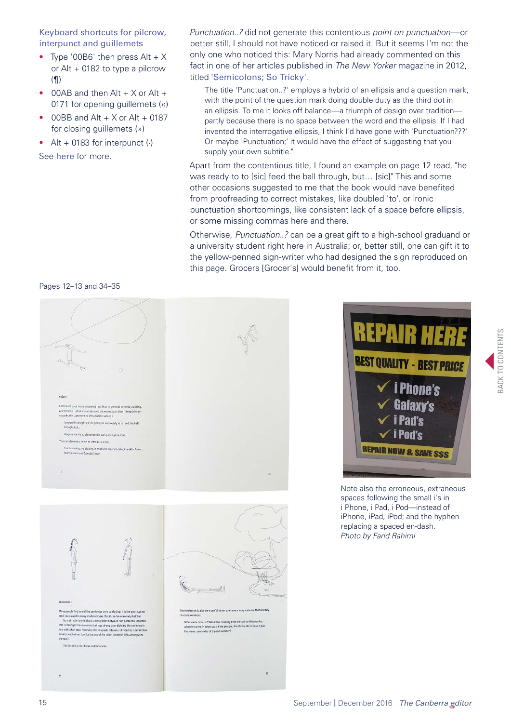Keyboard shortcuts for pilcrow, interpunct and guillemets

- Type '00B6' then press  $Alt + X$ or Alt + 0182 to type a pilcrow (¶)
- $\bullet$  00AB and then Alt  $+ X$  or Alt  $+$ 0171 for opening guillemets («)
- $\bullet$  00BB and Alt + X or Alt + 0187 for closing guillemets (»)
- Alt  $+$  0183 for interpunct  $(·)$

See [here](http://typefacts.com/keyboard-shortcuts) for more.

*Punctuation..?* did not generate this contentious *point on punctuation*—or better still, I should not have noticed or raised it. But it seems I'm not the only one who noticed this: Mary Norris had already commented on this fact in one of her articles published in *The New Yorker* magazine in 2012, titled '[Semicolons; So Tricky](http://www.newyorker.com/books/page-turner/semicolons-so-tricky)'.

"The title 'Punctuation..?' employs a hybrid of an ellipsis and a question mark, with the point of the question mark doing double duty as the third dot in an ellipsis. To me it looks off balance—a triumph of design over tradition partly because there is no space between the word and the ellipsis. If I had invented the interrogative ellipsis, I think I'd have gone with 'Punctuation???' Or maybe 'Punctuation;' it would have the effect of suggesting that you supply your own subtitle."

Apart from the contentious title, I found an example on page 12 read, "he was ready to to [sic] feed the ball through, but… [sic]" This and some other occasions suggested to me that the book would have benefited from proofreading to correct mistakes, like doubled 'to', or ironic punctuation shortcomings, like consistent lack of a space before ellipsis, or some missing commas here and there.

Otherwise, *Punctuation..?* can be a great gift to a high-school graduand or a university student right here in Australia; or, better still, one can gift it to the yellow-penned sign-writer who had designed the sign reproduced on this page. Grocers [Grocer's] would benefit from it, too.



spaces following the small i's in i Phone, i Pad, i Pod—instead of iPhone, iPad, iPod; and the hyphen replacing a spaced en-dash. *Photo by Farid Rahimi*

BACK TO CONTENTS **BACK TO CONTENTS** 

Pages 12–13 and 34–35

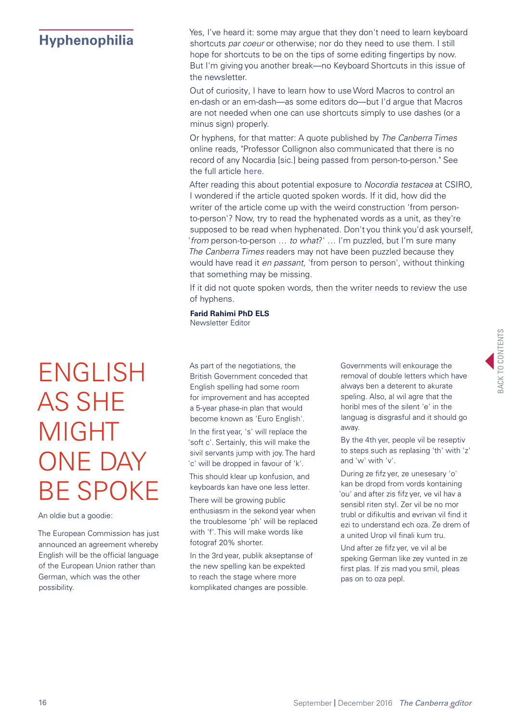<span id="page-15-0"></span>**[Hyphenophilia](#page-15-0)** Yes, I've heard it: some may argue that they don't need to learn keyboard<br>
Shortcuts par coeur or otherwise: nor do they need to use them. I still shortcuts *par coeur* or otherwise; nor do they need to use them. I still hope for shortcuts to be on the tips of some editing fingertips by now. But I'm giving you another break—no Keyboard Shortcuts in this issue of the newsletter.

> Out of curiosity, I have to learn how to use Word Macros to control an en-dash or an em-dash—as some editors do—but I'd argue that Macros are not needed when one can use shortcuts simply to use dashes (or a minus sign) properly.

Or hyphens, for that matter: A quote published by *The Canberra Times* online reads, "Professor Collignon also communicated that there is no record of any Nocardia [sic.] being passed from person-to-person." See the full article [here](http://www.canberratimes.com.au/national/public-service/flaws-exposed-after-30-csiro-workers-exposed-to-pathogen-20160905-gr91p6.html).

After reading this about potential exposure to *Nocordia testacea* at CSIRO, I wondered if the article quoted spoken words. If it did, how did the writer of the article come up with the weird construction 'from personto-person'? Now, try to read the hyphenated words as a unit, as they're supposed to be read when hyphenated. Don't you think you'd ask yourself, '*from* person-to-person … *to what*?' … I'm puzzled, but I'm sure many *The Canberra Times* readers may not have been puzzled because they would have read it *en passant*, 'from person to person', without thinking that something may be missing.

If it did not quote spoken words, then the writer needs to review the use of hyphens.

**Farid Rahimi PhD ELS** Newsletter Editor

# ENGLISH AS SHE MIGHT ONE DAY BE SPOKE

#### An oldie but a goodie:

The European Commission has just announced an agreement whereby English will be the official language of the European Union rather than German, which was the other possibility.

As part of the negotiations, the British Government conceded that English spelling had some room for improvement and has accepted a 5-year phase-in plan that would become known as 'Euro English'.

In the first year, 's' will replace the 'soft c'. Sertainly, this will make the sivil servants jump with joy. The hard 'c' will be dropped in favour of 'k'.

This should klear up konfusion, and keyboards kan have one less letter.

There will be growing public enthusiasm in the sekond year when the troublesome 'ph' will be replaced with 'f'. This will make words like fotograf 20% shorter.

In the 3rd year, publik akseptanse of the new spelling kan be expekted to reach the stage where more komplikated changes are possible.

Governments will enkourage the removal of double letters which have always ben a deterent to akurate speling. Also, al wil agre that the horibl mes of the silent 'e' in the languag is disgrasful and it should go away.

By the 4th yer, people vil be reseptiv to steps such as replasing 'th' with 'z' and 'w' with 'v'.

During ze fifz yer, ze unesesary 'o' kan be dropd from vords kontaining 'ou' and after zis fifz yer, ve vil hav a sensibl riten styl. Zer vil be no mor trubl or difikultis and evrivan vil find it ezi to understand ech oza. Ze drem of a united Urop vil finali kum tru.

Und after ze fifz yer, ve vil al be speking German like zey vunted in ze first plas. If zis mad you smil, pleas pas on to oza pepl.

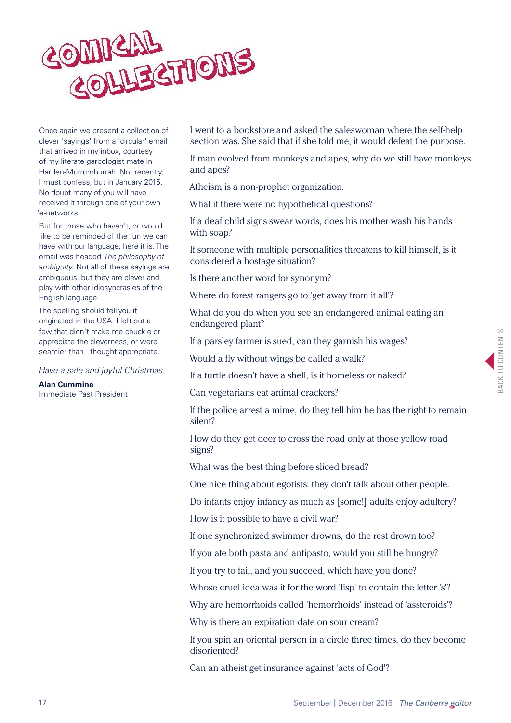<span id="page-16-0"></span>

Once again we present a collection of clever 'sayings' from a 'circular' email that arrived in my inbox, courtesy of my literate garbologist mate in Harden-Murrumburrah. Not recently, I must confess, but in January 2015. No doubt many of you will have received it through one of your own 'e-networks'.

But for those who haven't, or would like to be reminded of the fun we can have with our language, here it is. The email was headed *The philosophy of ambiguity*. Not all of these sayings are ambiguous, but they are clever and play with other idiosyncrasies of the English language.

The spelling should tell you it originated in the USA. I left out a few that didn't make me chuckle or appreciate the cleverness, or were seamier than I thought appropriate.

*Have a safe and joyful Christmas.* 

**Alan Cummine** Immediate Past President I went to a bookstore and asked the saleswoman where the self-help section was. She said that if she told me, it would defeat the purpose.

If man evolved from monkeys and apes, why do we still have monkeys and apes?

Atheism is a non-prophet organization.

What if there were no hypothetical questions?

If a deaf child signs swear words, does his mother wash his hands with soap?

If someone with multiple personalities threatens to kill himself, is it considered a hostage situation?

Is there another word for synonym?

Where do forest rangers go to 'get away from it all'?

What do you do when you see an endangered animal eating an endangered plant?

If a parsley farmer is sued, can they garnish his wages?

Would a fly without wings be called a walk?

If a turtle doesn't have a shell, is it homeless or naked?

Can vegetarians eat animal crackers?

If the police arrest a mime, do they tell him he has the right to remain silent?

How do they get deer to cross the road only at those yellow road signs?

What was the best thing before sliced bread?

One nice thing about egotists: they don't talk about other people.

Do infants enjoy infancy as much as [some!] adults enjoy adultery?

How is it possible to have a civil war?

If one synchronized swimmer drowns, do the rest drown too?

If you ate both pasta and antipasto, would you still be hungry?

If you try to fail, and you succeed, which have you done?

Whose cruel idea was it for the word 'lisp' to contain the letter 's'?

Why are hemorrhoids called 'hemorrhoids' instead of 'assteroids'?

Why is there an expiration date on sour cream?

If you spin an oriental person in a circle three times, do they become disoriented?

Can an atheist get insurance against 'acts of God'?